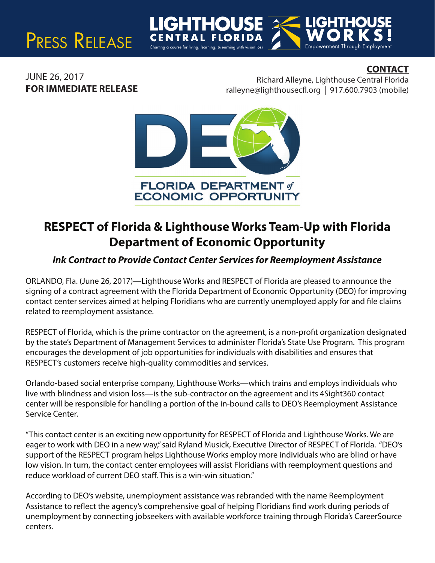# PRESS RELEASE

## **CONTACT**

JUNE 26, 2017 **FOR IMMEDIATE RELEASE**

Richard Alleyne, Lighthouse Central Florida  $ralleyne@lighthousecfl.org | 917.600.7903 (mobile)$ 

Empowerment Through Employment



# **RESPECT of Florida & Lighthouse Works Team-Up with Florida Department of Economic Opportunity**

### *Ink Contract to Provide Contact Center Services for Reemployment Assistance*

ORLANDO, Fla. (June 26, 2017)—Lighthouse Works and RESPECT of Florida are pleased to announce the signing of a contract agreement with the Florida Department of Economic Opportunity (DEO) for improving contact center services aimed at helping Floridians who are currently unemployed apply for and file claims related to reemployment assistance.

RESPECT of Florida, which is the prime contractor on the agreement, is a non-profit organization designated by the state's Department of Management Services to administer Florida's State Use Program. This program encourages the development of job opportunities for individuals with disabilities and ensures that RESPECT's customers receive high-quality commodities and services.

Orlando-based social enterprise company, Lighthouse Works—which trains and employs individuals who live with blindness and vision loss—is the sub-contractor on the agreement and its 4Sight360 contact center will be responsible for handling a portion of the in-bound calls to DEO's Reemployment Assistance Service Center.

"This contact center is an exciting new opportunity for RESPECT of Florida and Lighthouse Works. We are eager to work with DEO in a new way," said Ryland Musick, Executive Director of RESPECT of Florida. "DEO's support of the RESPECT program helps Lighthouse Works employ more individuals who are blind or have low vision. In turn, the contact center employees will assist Floridians with reemployment questions and reduce workload of current DEO staff. This is a win-win situation."

According to DEO's website, unemployment assistance was rebranded with the name Reemployment Assistance to reflect the agency's comprehensive goal of helping Floridians find work during periods of unemployment by connecting jobseekers with available workforce training through Florida's CareerSource centers.